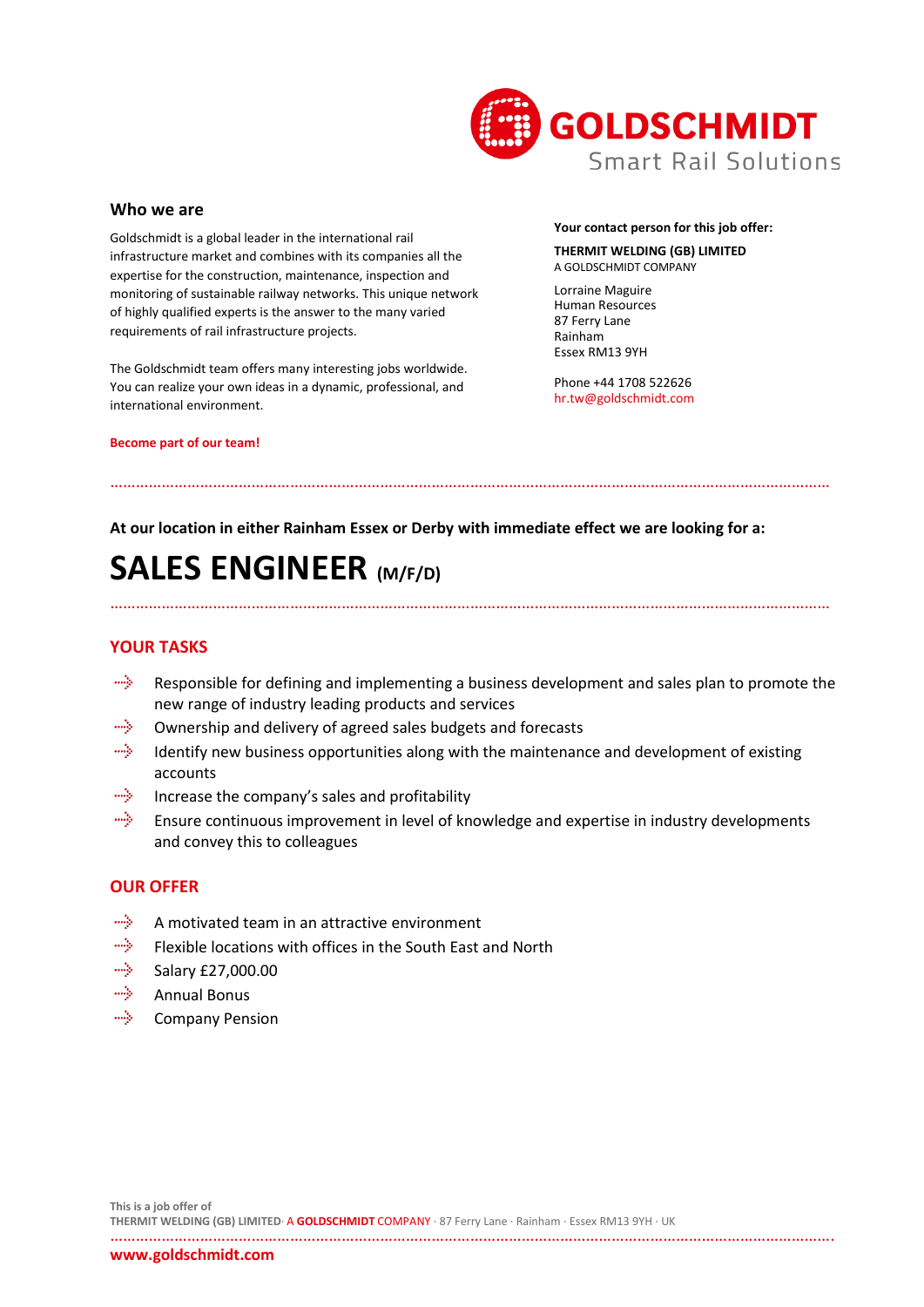

#### **Who we are**

Goldschmidt is a global leader in the international rail infrastructure market and combines with its companies all the expertise for the construction, maintenance, inspection and monitoring of sustainable railway networks. This unique network of highly qualified experts is the answer to the many varied requirements of rail infrastructure projects.

The Goldschmidt team offers many interesting jobs worldwide. You can realize your own ideas in a dynamic, professional, and international environment.

#### **Become part of our team!**

#### **Your contact person for this job offer:**

#### **THERMIT WELDING (GB) LIMITED** A GOLDSCHMIDT COMPANY

Lorraine Maguire Human Resources 87 Ferry Lane Rainham Essex RM13 9YH

Phone +44 1708 522626 hr.tw@goldschmidt.com

### **At our location in either Rainham Essex or Derby with immediate effect we are looking for a:**

……………………………………………………………………………………………………………………………………………………

# **SALES ENGINEER (M/F/D)**

## **YOUR TASKS**

align. Responsible for defining and implementing a business development and sales plan to promote the new range of industry leading products and services

……………………………………………………………………………………………………………………………………………………

- aliyo Ownership and delivery of agreed sales budgets and forecasts
- aliya Identify new business opportunities along with the maintenance and development of existing accounts
- mily . Increase the company's sales and profitability
- miy. Ensure continuous improvement in level of knowledge and expertise in industry developments and convey this to colleagues

## **OUR OFFER**

- aliya. A motivated team in an attractive environment
- aliyo Flexible locations with offices in the South East and North
- alija. Salary £27,000.00
- alija. Annual Bonus
- aliya. Company Pension

…………………………………………………………………………………………………………………………………………………….